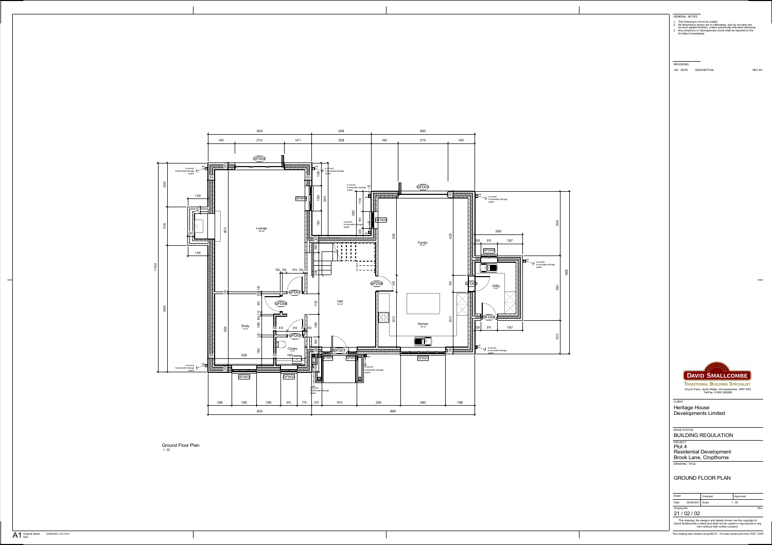

**TRADITIONAL BUILDING SPECIALIST** Church Farm, North Piddle, Worcestershire. WR7 4PS Tel/Fax: 01905 380088

<sub>РRОЈЕСТ</sub><br>Plot 4<br>Residential Development DRAWING TITLE Brook Lane, Cropthorne

This drawing, the designs and details shown are the copyright of David Smallcombe Limited and shall not be copied or reproduced in any form without their written consent.

CLIENT

| Drawn       |                  | Checked |  | Approved |  |
|-------------|------------------|---------|--|----------|--|
| Date        | 24/05/2021 Scale |         |  | 1:50     |  |
| Drawing No. |                  |         |  |          |  |

- 1. This Drawing is not to be scaled.
- 2. All dimensions shown are in millimeters, and do not take into account applied finishes, unless specifically indicated otherwise.
- 3. Any omissions or discrepancies found shall be reported to the Architect immediately.

GENERAL NOTES

REVISIONS

NO DATE DESCRIPTION REVIEW REVIEW



### ISSUE STATUS

21 / 02 / 02

# GROUND FLOOR PLAN

Heritage House Developments Limited

BUILDING REGULATION

1 : 50 Ground Floor Plan